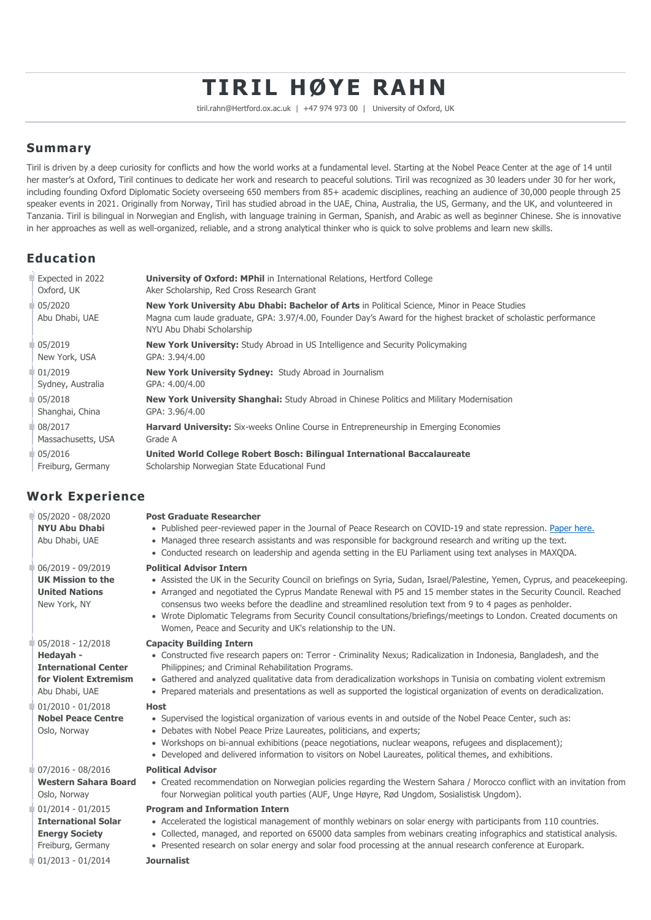# **TIRIL HØYE RAHN**

tiril.rahn@Hertford.ox.ac.uk | +47 974 973 00 | University of Oxford, UK

### **Summary**

Tiril is driven by a deep curiosity for conflicts and how the world works at a fundamental level. Starting at the Nobel Peace Center at the age of 14 until her master's at Oxford, Tiril continues to dedicate her work and research to peaceful solutions. Tiril was recognized as 30 leaders under 30 for her work, including founding Oxford Diplomatic Society overseeing 650 members from 85+ academic disciplines, reaching an audience of 30,000 people through 25 speaker events in 2021. Originally from Norway, Tiril has studied abroad in the UAE, China, Australia, the US, Germany, and the UK, and volunteered in Tanzania. Tiril is bilingual in Norwegian and English, with language training in German, Spanish, and Arabic as well as beginner Chinese. She is innovative in her approaches as well as well-organized, reliable, and a strong analytical thinker who is quick to solve problems and learn new skills.

# **Education**

| Expected in 2022          | <b>University of Oxford: MPhil</b> in International Relations, Hertford College                                                                                                                                                              |
|---------------------------|----------------------------------------------------------------------------------------------------------------------------------------------------------------------------------------------------------------------------------------------|
| Oxford, UK                | Aker Scholarship, Red Cross Research Grant                                                                                                                                                                                                   |
| 05/2020<br>Abu Dhabi, UAE | New York University Abu Dhabi: Bachelor of Arts in Political Science, Minor in Peace Studies<br>Magna cum laude graduate, GPA: 3.97/4.00, Founder Day's Award for the highest bracket of scholastic performance<br>NYU Abu Dhabi Scholarship |
| 05/2019                   | <b>New York University:</b> Study Abroad in US Intelligence and Security Policymaking                                                                                                                                                        |
| New York, USA             | GPA: 3.94/4.00                                                                                                                                                                                                                               |
| 01/2019                   | <b>New York University Sydney: Study Abroad in Journalism</b>                                                                                                                                                                                |
| Sydney, Australia         | GPA: 4.00/4.00                                                                                                                                                                                                                               |
| 05/2018                   | <b>New York University Shanghai:</b> Study Abroad in Chinese Politics and Military Modernisation                                                                                                                                             |
| Shanghai, China           | GPA: 3.96/4.00                                                                                                                                                                                                                               |
| 08/2017                   | <b>Harvard University:</b> Six-weeks Online Course in Entrepreneurship in Emerging Economies                                                                                                                                                 |
| Massachusetts, USA        | Grade A                                                                                                                                                                                                                                      |
| 05/2016                   | United World College Robert Bosch: Bilingual International Baccalaureate                                                                                                                                                                     |
| Freiburg, Germany         | Scholarship Norwegian State Educational Fund                                                                                                                                                                                                 |

# **Work Experience**

| $105/2020 - 08/2020$<br><b>NYU Abu Dhabi</b><br>Abu Dhabi, UAE                         | <b>Post Graduate Researcher</b><br>. Published peer-reviewed paper in the Journal of Peace Research on COVID-19 and state repression. Paper here.<br>• Managed three research assistants and was responsible for background research and writing up the text.<br>• Conducted research on leadership and agenda setting in the EU Parliament using text analyses in MAXODA.                                                                                                                                                                                                          |
|----------------------------------------------------------------------------------------|-------------------------------------------------------------------------------------------------------------------------------------------------------------------------------------------------------------------------------------------------------------------------------------------------------------------------------------------------------------------------------------------------------------------------------------------------------------------------------------------------------------------------------------------------------------------------------------|
| 06/2019 - 09/2019<br><b>UK Mission to the</b><br><b>United Nations</b><br>New York, NY | <b>Political Advisor Intern</b><br>• Assisted the UK in the Security Council on briefings on Syria, Sudan, Israel/Palestine, Yemen, Cyprus, and peacekeeping.<br>• Arranged and negotiated the Cyprus Mandate Renewal with P5 and 15 member states in the Security Council. Reached<br>consensus two weeks before the deadline and streamlined resolution text from 9 to 4 pages as penholder.<br>• Wrote Diplomatic Telegrams from Security Council consultations/briefings/meetings to London. Created documents on<br>Women, Peace and Security and UK's relationship to the UN. |
| 05/2018 - 12/2018                                                                      | <b>Capacity Building Intern</b>                                                                                                                                                                                                                                                                                                                                                                                                                                                                                                                                                     |
| Hedayah -                                                                              | • Constructed five research papers on: Terror - Criminality Nexus; Radicalization in Indonesia, Bangladesh, and the                                                                                                                                                                                                                                                                                                                                                                                                                                                                 |
| <b>International Center</b>                                                            | Philippines; and Criminal Rehabilitation Programs.                                                                                                                                                                                                                                                                                                                                                                                                                                                                                                                                  |
| for Violent Extremism                                                                  | • Gathered and analyzed qualitative data from deradicalization workshops in Tunisia on combating violent extremism                                                                                                                                                                                                                                                                                                                                                                                                                                                                  |
| Abu Dhabi, UAE                                                                         | • Prepared materials and presentations as well as supported the logistical organization of events on deradicalization.                                                                                                                                                                                                                                                                                                                                                                                                                                                              |
| $01/2010 - 01/2018$<br><b>Nobel Peace Centre</b><br>Oslo, Norway                       | <b>Host</b><br>• Supervised the logistical organization of various events in and outside of the Nobel Peace Center, such as:<br>• Debates with Nobel Peace Prize Laureates, politicians, and experts;<br>• Workshops on bi-annual exhibitions (peace negotiations, nuclear weapons, refugees and displacement);<br>• Developed and delivered information to visitors on Nobel Laureates, political themes, and exhibitions.                                                                                                                                                         |
| 07/2016 - 08/2016                                                                      | <b>Political Advisor</b>                                                                                                                                                                                                                                                                                                                                                                                                                                                                                                                                                            |
| <b>Western Sahara Board</b>                                                            | • Created recommendation on Norwegian policies regarding the Western Sahara / Morocco conflict with an invitation from                                                                                                                                                                                                                                                                                                                                                                                                                                                              |
| Oslo, Norway                                                                           | four Norwegian political youth parties (AUF, Unge Høyre, Rød Ungdom, Sosialistisk Ungdom).                                                                                                                                                                                                                                                                                                                                                                                                                                                                                          |
| 01/2014 - 01/2015                                                                      | <b>Program and Information Intern</b>                                                                                                                                                                                                                                                                                                                                                                                                                                                                                                                                               |
| <b>International Solar</b>                                                             | • Accelerated the logistical management of monthly webinars on solar energy with participants from 110 countries.                                                                                                                                                                                                                                                                                                                                                                                                                                                                   |
| <b>Energy Society</b>                                                                  | • Collected, managed, and reported on 65000 data samples from webinars creating infographics and statistical analysis.                                                                                                                                                                                                                                                                                                                                                                                                                                                              |
| Freiburg, Germany                                                                      | • Presented research on solar energy and solar food processing at the annual research conference at Europark.                                                                                                                                                                                                                                                                                                                                                                                                                                                                       |
| $01/2013 - 01/2014$                                                                    | <b>Journalist</b>                                                                                                                                                                                                                                                                                                                                                                                                                                                                                                                                                                   |